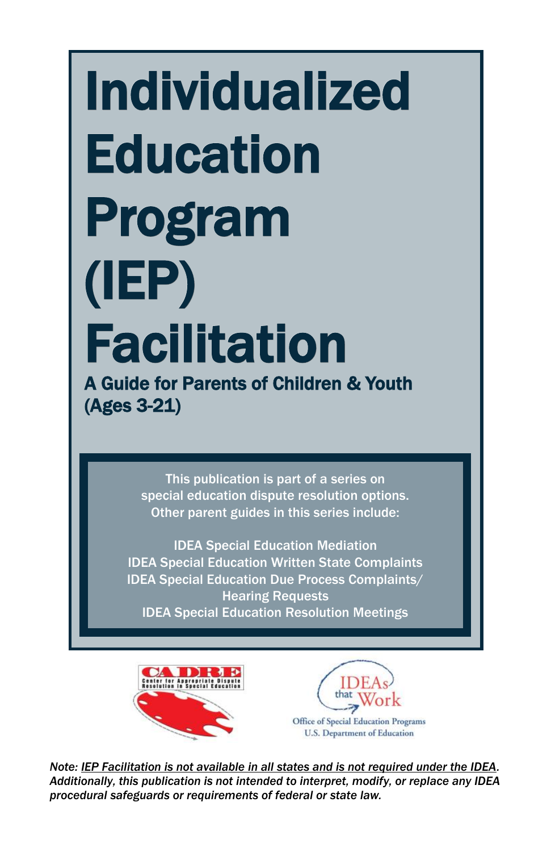# Individualized **Education** Program (IEP) Facilitation A Guide for Parents of Children & Youth (Ages 3-21)

This publication is part of a series on special education dispute resolution options. Other parent guides in this series include:

IDEA Special Education Mediation IDEA Special Education Written State Complaints IDEA Special Education Due Process Complaints/ Hearing Requests IDEA Special Education Resolution Meetings





*Note: IEP Facilitation is not available in all states and is not required under the IDEA. Additionally, this publication is not intended to interpret, modify, or replace any IDEA procedural safeguards or requirements of federal or state law.*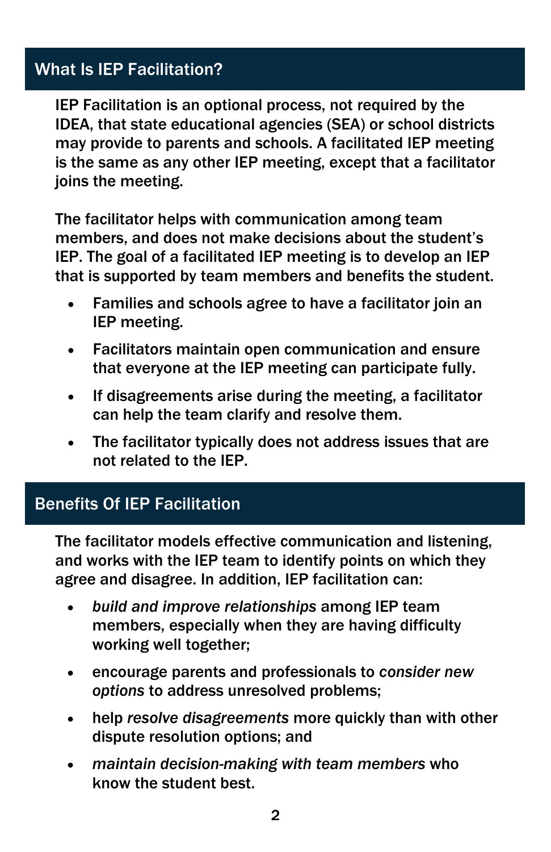# What Is IEP Facilitation?

IEP Facilitation is an optional process, not required by the IDEA, that state educational agencies (SEA) or school districts may provide to parents and schools. A facilitated IEP meeting is the same as any other IEP meeting, except that a facilitator joins the meeting.

The facilitator helps with communication among team members, and does not make decisions about the student's IEP. The goal of a facilitated IEP meeting is to develop an IEP that is supported by team members and benefits the student.

- Families and schools agree to have a facilitator join an IEP meeting.
- Facilitators maintain open communication and ensure that everyone at the IEP meeting can participate fully.
- If disagreements arise during the meeting, a facilitator can help the team clarify and resolve them.
- The facilitator typically does not address issues that are not related to the IEP.

# Benefits Of IEP Facilitation

The facilitator models effective communication and listening, and works with the IEP team to identify points on which they agree and disagree. In addition, IEP facilitation can:

- *build and improve relationships* among IEP team members, especially when they are having difficulty working well together;
- encourage parents and professionals to *consider new options* to address unresolved problems;
- help *resolve disagreements* more quickly than with other dispute resolution options; and
- *maintain decision-making with team members* who know the student best.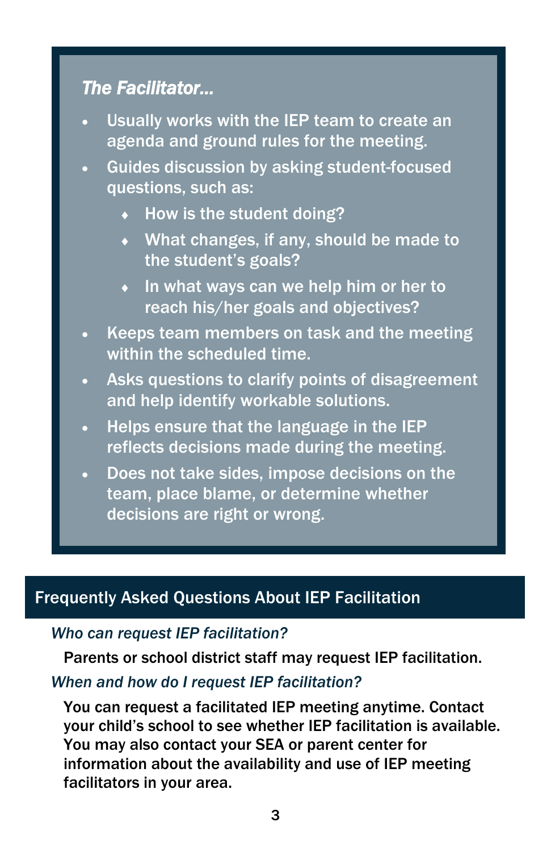# *The Facilitator…*

- Usually works with the IEP team to create an agenda and ground rules for the meeting.
- Guides discussion by asking student-focused questions, such as:
	- $\leftrightarrow$  How is the student doing?
	- What changes, if any, should be made to the student's goals?
	- $\bullet$  In what ways can we help him or her to reach his/her goals and objectives?
- Keeps team members on task and the meeting within the scheduled time.
- Asks questions to clarify points of disagreement and help identify workable solutions.
- Helps ensure that the language in the IEP reflects decisions made during the meeting.
- Does not take sides, impose decisions on the team, place blame, or determine whether decisions are right or wrong.

# Frequently Asked Questions About IEP Facilitation

#### *Who can request IEP facilitation?*

Parents or school district staff may request IEP facilitation.

## *When and how do I request IEP facilitation?*

You can request a facilitated IEP meeting anytime. Contact your child's school to see whether IEP facilitation is available. You may also contact your SEA or parent center for information about the availability and use of IEP meeting facilitators in your area.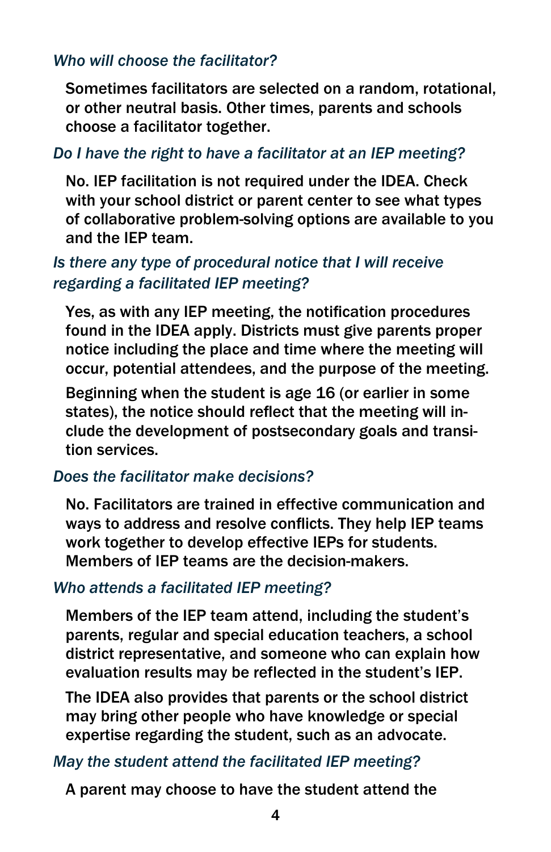#### *Who will choose the facilitator?*

Sometimes facilitators are selected on a random, rotational, or other neutral basis. Other times, parents and schools choose a facilitator together.

#### *Do I have the right to have a facilitator at an IEP meeting?*

No. IEP facilitation is not required under the IDEA. Check with your school district or parent center to see what types of collaborative problem-solving options are available to you and the IEP team.

## *Is there any type of procedural notice that I will receive regarding a facilitated IEP meeting?*

Yes, as with any IEP meeting, the notification procedures found in the IDEA apply. Districts must give parents proper notice including the place and time where the meeting will occur, potential attendees, and the purpose of the meeting.

Beginning when the student is age 16 (or earlier in some states), the notice should reflect that the meeting will include the development of postsecondary goals and transition services.

#### *Does the facilitator make decisions?*

No. Facilitators are trained in effective communication and ways to address and resolve conflicts. They help IEP teams work together to develop effective IEPs for students. Members of IEP teams are the decision-makers.

#### *Who attends a facilitated IEP meeting?*

Members of the IEP team attend, including the student's parents, regular and special education teachers, a school district representative, and someone who can explain how evaluation results may be reflected in the student's IEP.

The IDEA also provides that parents or the school district may bring other people who have knowledge or special expertise regarding the student, such as an advocate.

#### *May the student attend the facilitated IEP meeting?*

A parent may choose to have the student attend the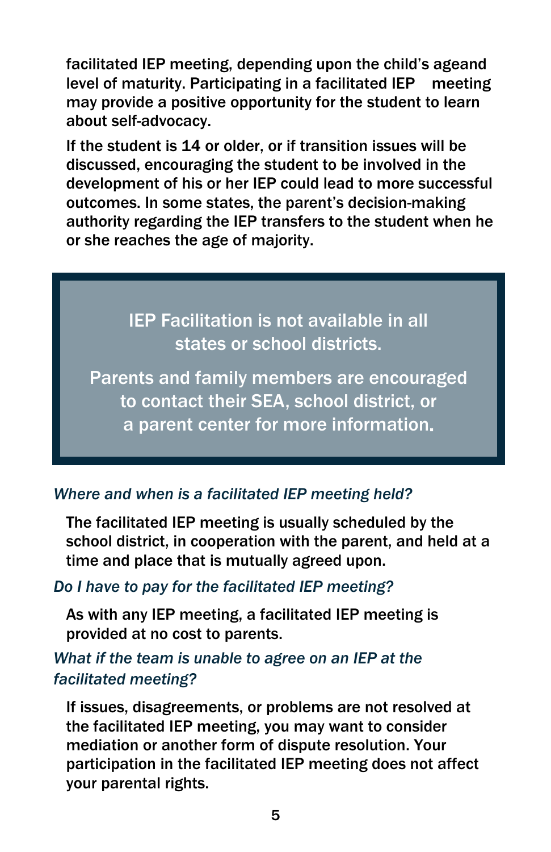facilitated IEP meeting, depending upon the child's ageand level of maturity. Participating in a facilitated IEP meeting may provide a positive opportunity for the student to learn about self-advocacy.

If the student is 14 or older, or if transition issues will be discussed, encouraging the student to be involved in the development of his or her IEP could lead to more successful outcomes. In some states, the parent's decision-making authority regarding the IEP transfers to the student when he or she reaches the age of majority.

> IEP Facilitation is not available in all states or school districts.

Parents and family members are encouraged to contact their SEA, school district, or a parent center for more information.

# *Where and when is a facilitated IEP meeting held?*

The facilitated IEP meeting is usually scheduled by the school district, in cooperation with the parent, and held at a time and place that is mutually agreed upon.

## *Do I have to pay for the facilitated IEP meeting?*

As with any IEP meeting, a facilitated IEP meeting is provided at no cost to parents.

## *What if the team is unable to agree on an IEP at the facilitated meeting?*

If issues, disagreements, or problems are not resolved at the facilitated IEP meeting, you may want to consider mediation or another form of dispute resolution. Your participation in the facilitated IEP meeting does not affect your parental rights.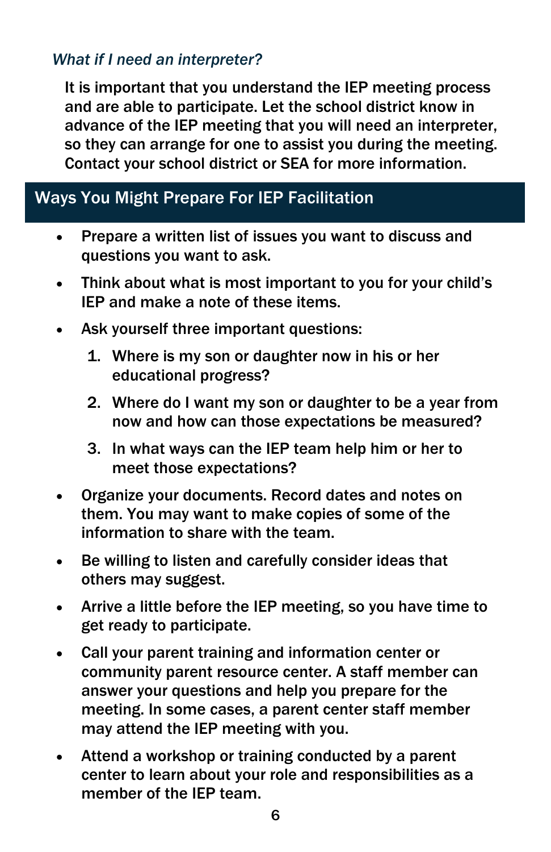## *What if I need an interpreter?*

It is important that you understand the IEP meeting process and are able to participate. Let the school district know in advance of the IEP meeting that you will need an interpreter, so they can arrange for one to assist you during the meeting. Contact your school district or SEA for more information.

# Ways You Might Prepare For IEP Facilitation

- Prepare a written list of issues you want to discuss and questions you want to ask.
- Think about what is most important to you for your child's IEP and make a note of these items.
- Ask yourself three important questions:
	- 1. Where is my son or daughter now in his or her educational progress?
	- 2. Where do I want my son or daughter to be a year from now and how can those expectations be measured?
	- 3. In what ways can the IEP team help him or her to meet those expectations?
- Organize your documents. Record dates and notes on them. You may want to make copies of some of the information to share with the team.
- Be willing to listen and carefully consider ideas that others may suggest.
- Arrive a little before the IEP meeting, so you have time to get ready to participate.
- Call your parent training and information center or community parent resource center. A staff member can answer your questions and help you prepare for the meeting. In some cases, a parent center staff member may attend the IEP meeting with you.
- Attend a workshop or training conducted by a parent center to learn about your role and responsibilities as a member of the IEP team.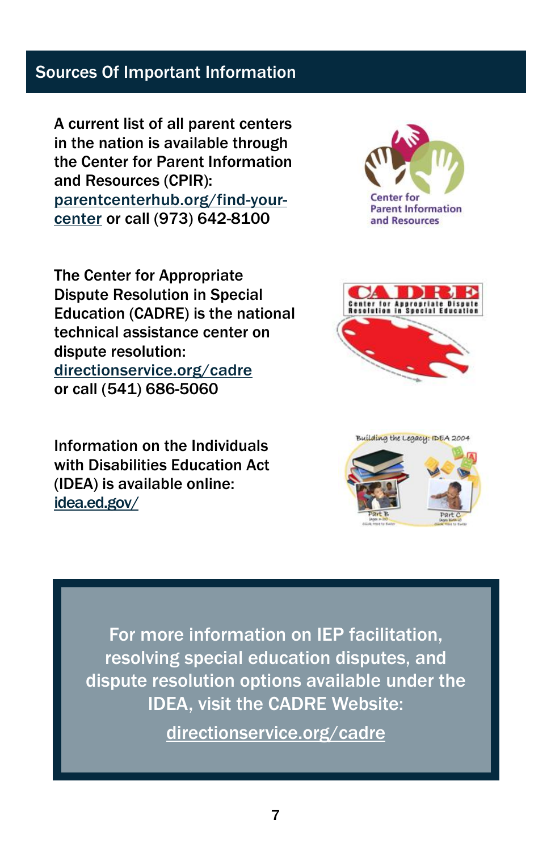## Sources Of Important Information

A current list of all parent centers in the nation is available through the Center for Parent Information and Resources (CPIR): [parentcenterhub.org/find-your](http://www.parentcenterhub.org/find-your-center)[center](http://www.parentcenterhub.org/find-your-center) or call (973) 642-8100

The Center for Appropriate Dispute Resolution in Special Education (CADRE) is the national technical assistance center on dispute resolution: [directionservice.org/cadre](http://www.directionservice.org/cadre) or call (541) 686-5060

Information on the Individuals with Disabilities Education Act (IDEA) is available online: [idea.ed.gov/](http://idea.ed.gov/)







For more information on IEP facilitation, resolving special education disputes, and dispute resolution options available under the IDEA, visit the CADRE Website:

[directionservice.org/cadre](http://www.directionservice.org/cadre/)